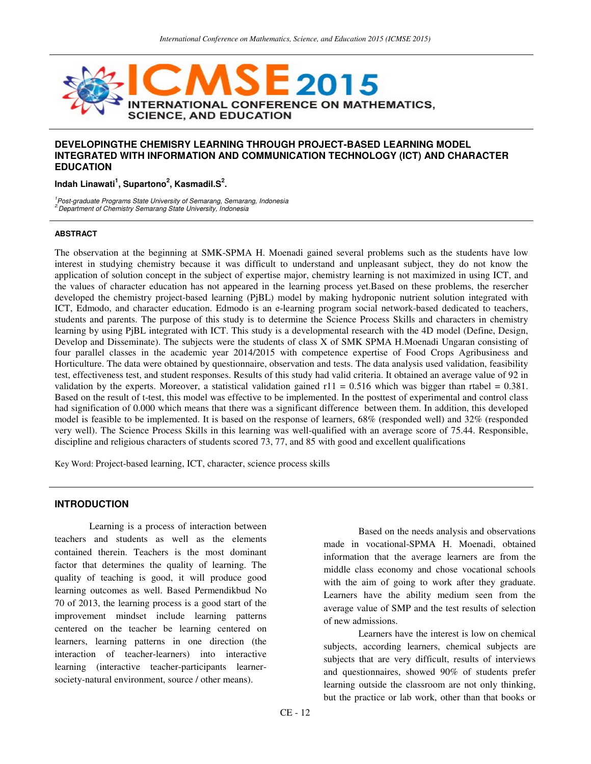

## **DEVELOPINGTHE CHEMISRY LEARNING THROUGH PROJECT-BASED LEARNING MODEL INTEGRATED WITH INFORMATION AND COMMUNICATION TECHNOLOGY (ICT) AND CHARACTER EDUCATION**

### **Indah Linawati<sup>1</sup> , Supartono<sup>2</sup> , KasmadiI.S<sup>2</sup> .**

<sup>1</sup> Post-graduate Programs State University of Semarang, Semarang, Indonesia <sup>2.</sup>Department of Chemistry Semarang State University, Indonesia

#### **ABSTRACT**

The observation at the beginning at SMK-SPMA H. Moenadi gained several problems such as the students have low interest in studying chemistry because it was difficult to understand and unpleasant subject, they do not know the application of solution concept in the subject of expertise major, chemistry learning is not maximized in using ICT, and the values of character education has not appeared in the learning process yet.Based on these problems, the resercher developed the chemistry project-based learning (PjBL) model by making hydroponic nutrient solution integrated with ICT, Edmodo, and character education. Edmodo is an e-learning program social network-based dedicated to teachers, students and parents. The purpose of this study is to determine the Science Process Skills and characters in chemistry learning by using PjBL integrated with ICT. This study is a developmental research with the 4D model (Define, Design, Develop and Disseminate). The subjects were the students of class X of SMK SPMA H.Moenadi Ungaran consisting of four parallel classes in the academic year 2014/2015 with competence expertise of Food Crops Agribusiness and Horticulture. The data were obtained by questionnaire, observation and tests. The data analysis used validation, feasibility test, effectiveness test, and student responses. Results of this study had valid criteria. It obtained an average value of 92 in validation by the experts. Moreover, a statistical validation gained  $r11 = 0.516$  which was bigger than rtabel = 0.381. Based on the result of t-test, this model was effective to be implemented. In the posttest of experimental and control class had signification of 0.000 which means that there was a significant difference between them. In addition, this developed model is feasible to be implemented. It is based on the response of learners, 68% (responded well) and 32% (responded very well). The Science Process Skills in this learning was well-qualified with an average score of 75.44. Responsible, discipline and religious characters of students scored 73, 77, and 85 with good and excellent qualifications

Key Word: Project-based learning, ICT, character, science process skills

### **INTRODUCTION**

Learning is a process of interaction between teachers and students as well as the elements contained therein. Teachers is the most dominant factor that determines the quality of learning. The quality of teaching is good, it will produce good learning outcomes as well. Based Permendikbud No 70 of 2013, the learning process is a good start of the improvement mindset include learning patterns centered on the teacher be learning centered on learners, learning patterns in one direction (the interaction of teacher-learners) into interactive learning (interactive teacher-participants learnersociety-natural environment, source / other means).

Based on the needs analysis and observations made in vocational-SPMA H. Moenadi, obtained information that the average learners are from the middle class economy and chose vocational schools with the aim of going to work after they graduate. Learners have the ability medium seen from the average value of SMP and the test results of selection of new admissions.

Learners have the interest is low on chemical subjects, according learners, chemical subjects are subjects that are very difficult, results of interviews and questionnaires, showed 90% of students prefer learning outside the classroom are not only thinking, but the practice or lab work, other than that books or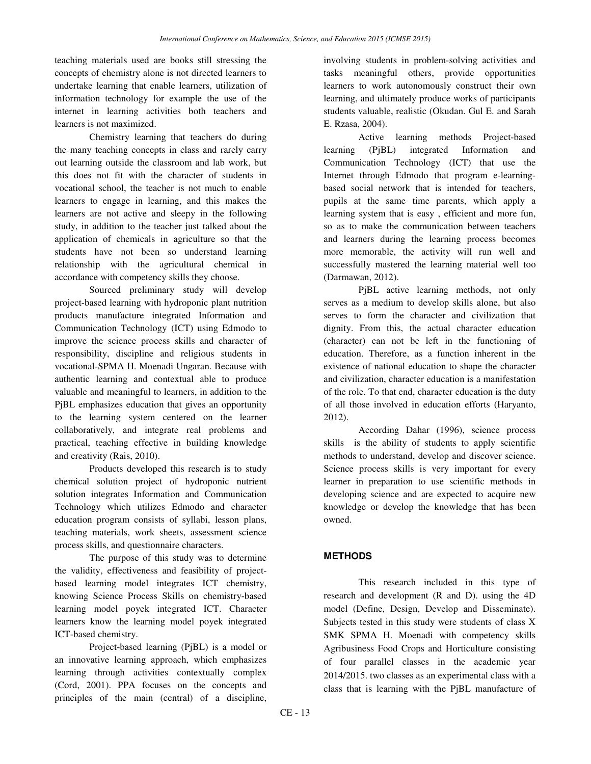teaching materials used are books still stressing the concepts of chemistry alone is not directed learners to undertake learning that enable learners, utilization of information technology for example the use of the internet in learning activities both teachers and learners is not maximized.

Chemistry learning that teachers do during the many teaching concepts in class and rarely carry out learning outside the classroom and lab work, but this does not fit with the character of students in vocational school, the teacher is not much to enable learners to engage in learning, and this makes the learners are not active and sleepy in the following study, in addition to the teacher just talked about the application of chemicals in agriculture so that the students have not been so understand learning relationship with the agricultural chemical in accordance with competency skills they choose.

Sourced preliminary study will develop project-based learning with hydroponic plant nutrition products manufacture integrated Information and Communication Technology (ICT) using Edmodo to improve the science process skills and character of responsibility, discipline and religious students in vocational-SPMA H. Moenadi Ungaran. Because with authentic learning and contextual able to produce valuable and meaningful to learners, in addition to the P<sub>iBL</sub> emphasizes education that gives an opportunity to the learning system centered on the learner collaboratively, and integrate real problems and practical, teaching effective in building knowledge and creativity (Rais, 2010).

Products developed this research is to study chemical solution project of hydroponic nutrient solution integrates Information and Communication Technology which utilizes Edmodo and character education program consists of syllabi, lesson plans, teaching materials, work sheets, assessment science process skills, and questionnaire characters.

The purpose of this study was to determine the validity, effectiveness and feasibility of projectbased learning model integrates ICT chemistry, knowing Science Process Skills on chemistry-based learning model poyek integrated ICT. Character learners know the learning model poyek integrated ICT-based chemistry.

Project-based learning (PjBL) is a model or an innovative learning approach, which emphasizes learning through activities contextually complex (Cord, 2001). PPA focuses on the concepts and principles of the main (central) of a discipline,

involving students in problem-solving activities and tasks meaningful others, provide opportunities learners to work autonomously construct their own learning, and ultimately produce works of participants students valuable, realistic (Okudan. Gul E. and Sarah E. Rzasa, 2004).

Active learning methods Project-based learning (PjBL) integrated Information and Communication Technology (ICT) that use the Internet through Edmodo that program e-learningbased social network that is intended for teachers, pupils at the same time parents, which apply a learning system that is easy , efficient and more fun, so as to make the communication between teachers and learners during the learning process becomes more memorable, the activity will run well and successfully mastered the learning material well too (Darmawan, 2012).

PjBL active learning methods, not only serves as a medium to develop skills alone, but also serves to form the character and civilization that dignity. From this, the actual character education (character) can not be left in the functioning of education. Therefore, as a function inherent in the existence of national education to shape the character and civilization, character education is a manifestation of the role. To that end, character education is the duty of all those involved in education efforts (Haryanto, 2012).

According Dahar (1996), science process skills is the ability of students to apply scientific methods to understand, develop and discover science. Science process skills is very important for every learner in preparation to use scientific methods in developing science and are expected to acquire new knowledge or develop the knowledge that has been owned.

# **METHODS**

This research included in this type of research and development (R and D). using the 4D model (Define, Design, Develop and Disseminate). Subjects tested in this study were students of class X SMK SPMA H. Moenadi with competency skills Agribusiness Food Crops and Horticulture consisting of four parallel classes in the academic year 2014/2015. two classes as an experimental class with a class that is learning with the PjBL manufacture of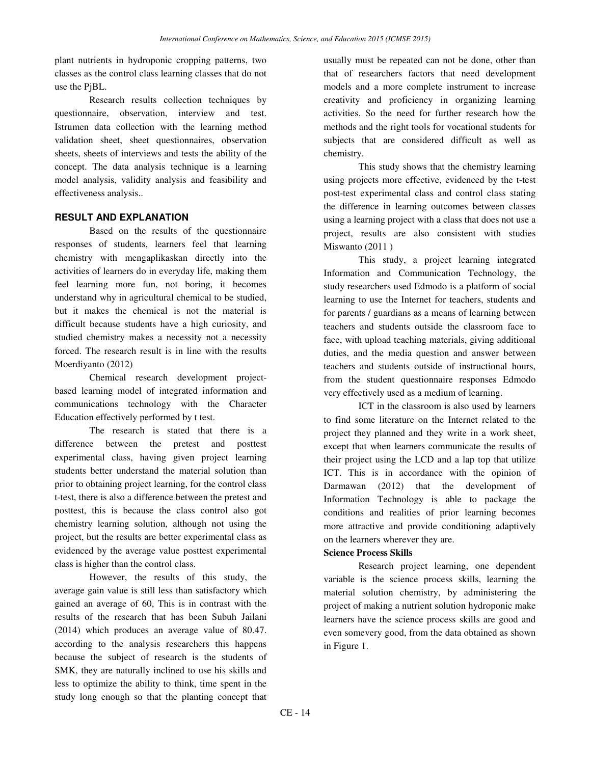plant nutrients in hydroponic cropping patterns, two classes as the control class learning classes that do not use the PjBL.

Research results collection techniques by questionnaire, observation, interview and test. Istrumen data collection with the learning method validation sheet, sheet questionnaires, observation sheets, sheets of interviews and tests the ability of the concept. The data analysis technique is a learning model analysis, validity analysis and feasibility and effectiveness analysis..

# **RESULT AND EXPLANATION**

Based on the results of the questionnaire responses of students, learners feel that learning chemistry with mengaplikaskan directly into the activities of learners do in everyday life, making them feel learning more fun, not boring, it becomes understand why in agricultural chemical to be studied, but it makes the chemical is not the material is difficult because students have a high curiosity, and studied chemistry makes a necessity not a necessity forced. The research result is in line with the results Moerdiyanto (2012)

Chemical research development projectbased learning model of integrated information and communications technology with the Character Education effectively performed by t test.

The research is stated that there is a difference between the pretest and posttest experimental class, having given project learning students better understand the material solution than prior to obtaining project learning, for the control class t-test, there is also a difference between the pretest and posttest, this is because the class control also got chemistry learning solution, although not using the project, but the results are better experimental class as evidenced by the average value posttest experimental class is higher than the control class.

However, the results of this study, the average gain value is still less than satisfactory which gained an average of 60, This is in contrast with the results of the research that has been Subuh Jailani (2014) which produces an average value of 80.47. according to the analysis researchers this happens because the subject of research is the students of SMK, they are naturally inclined to use his skills and less to optimize the ability to think, time spent in the study long enough so that the planting concept that

usually must be repeated can not be done, other than that of researchers factors that need development models and a more complete instrument to increase creativity and proficiency in organizing learning activities. So the need for further research how the methods and the right tools for vocational students for subjects that are considered difficult as well as chemistry.

This study shows that the chemistry learning using projects more effective, evidenced by the t-test post-test experimental class and control class stating the difference in learning outcomes between classes using a learning project with a class that does not use a project, results are also consistent with studies Miswanto (2011 )

This study, a project learning integrated Information and Communication Technology, the study researchers used Edmodo is a platform of social learning to use the Internet for teachers, students and for parents / guardians as a means of learning between teachers and students outside the classroom face to face, with upload teaching materials, giving additional duties, and the media question and answer between teachers and students outside of instructional hours, from the student questionnaire responses Edmodo very effectively used as a medium of learning.

ICT in the classroom is also used by learners to find some literature on the Internet related to the project they planned and they write in a work sheet, except that when learners communicate the results of their project using the LCD and a lap top that utilize ICT. This is in accordance with the opinion of Darmawan (2012) that the development of Information Technology is able to package the conditions and realities of prior learning becomes more attractive and provide conditioning adaptively on the learners wherever they are.

## **Science Process Skills**

Research project learning, one dependent variable is the science process skills, learning the material solution chemistry, by administering the project of making a nutrient solution hydroponic make learners have the science process skills are good and even somevery good, from the data obtained as shown in Figure 1.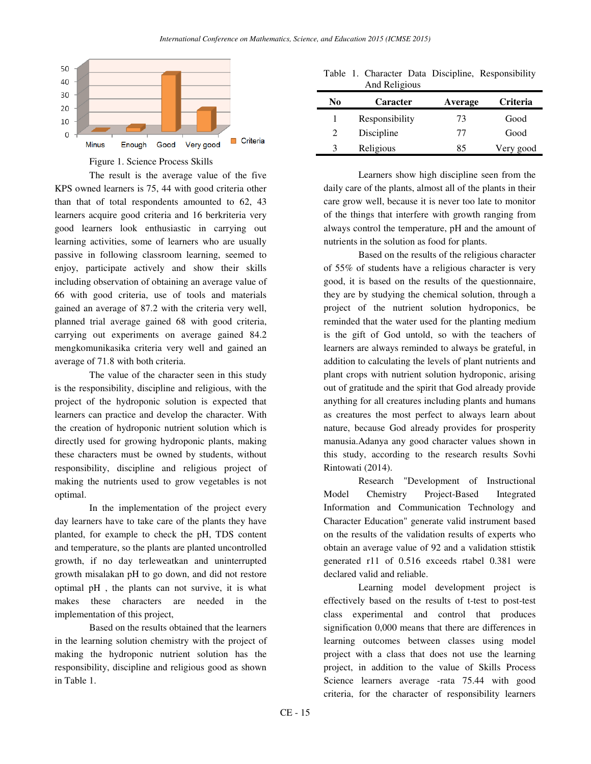

Figure 1. Science Process Skills

The result is the average value of the five KPS owned learners is 75, 44 with good criteria other than that of total respondents amounted to 62, 43 learners acquire good criteria and 16 berkriteria very good learners look enthusiastic in carrying out learning activities, some of learners who are usually passive in following classroom learning, seemed to enjoy, participate actively and show their skills including observation of obtaining an average value of 66 with good criteria, use of tools and materials gained an average of 87.2 with the criteria very well, planned trial average gained 68 with good criteria, carrying out experiments on average gained 84.2 mengkomunikasika criteria very well and gained an average of 71.8 with both criteria.

The value of the character seen in this study is the responsibility, discipline and religious, with the project of the hydroponic solution is expected that learners can practice and develop the character. With the creation of hydroponic nutrient solution which is directly used for growing hydroponic plants, making these characters must be owned by students, without responsibility, discipline and religious project of making the nutrients used to grow vegetables is not optimal.

In the implementation of the project every day learners have to take care of the plants they have planted, for example to check the pH, TDS content and temperature, so the plants are planted uncontrolled growth, if no day terleweatkan and uninterrupted growth misalakan pH to go down, and did not restore optimal pH , the plants can not survive, it is what makes these characters are needed in the implementation of this project,

Based on the results obtained that the learners in the learning solution chemistry with the project of making the hydroponic nutrient solution has the responsibility, discipline and religious good as shown in Table 1.

Table 1. Character Data Discipline, Responsibility And Religious

| No                          | Caracter       | Average | <b>Criteria</b> |
|-----------------------------|----------------|---------|-----------------|
|                             | Responsibility | 73      | Good            |
| $\mathcal{D}_{\mathcal{L}}$ | Discipline     | 77      | Good            |
|                             | Religious      | 85      | Very good       |

Learners show high discipline seen from the daily care of the plants, almost all of the plants in their care grow well, because it is never too late to monitor of the things that interfere with growth ranging from always control the temperature, pH and the amount of nutrients in the solution as food for plants.

Based on the results of the religious character of 55% of students have a religious character is very good, it is based on the results of the questionnaire, they are by studying the chemical solution, through a project of the nutrient solution hydroponics, be reminded that the water used for the planting medium is the gift of God untold, so with the teachers of learners are always reminded to always be grateful, in addition to calculating the levels of plant nutrients and plant crops with nutrient solution hydroponic, arising out of gratitude and the spirit that God already provide anything for all creatures including plants and humans as creatures the most perfect to always learn about nature, because God already provides for prosperity manusia.Adanya any good character values shown in this study, according to the research results Sovhi Rintowati (2014).

Research "Development of Instructional Model Chemistry Project-Based Integrated Information and Communication Technology and Character Education" generate valid instrument based on the results of the validation results of experts who obtain an average value of 92 and a validation sttistik generated r11 of 0.516 exceeds rtabel 0.381 were declared valid and reliable.

Learning model development project is effectively based on the results of t-test to post-test class experimental and control that produces signification 0,000 means that there are differences in learning outcomes between classes using model project with a class that does not use the learning project, in addition to the value of Skills Process Science learners average -rata 75.44 with good criteria, for the character of responsibility learners